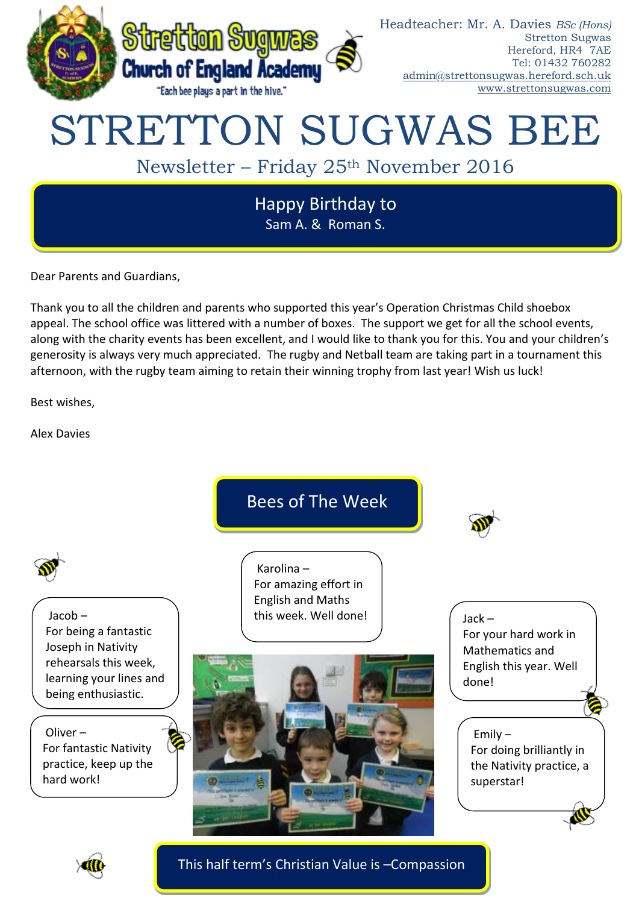

# STRETTON SUGWAS BEE

Newsletter – Friday 25th November 2016

Happy Birthday to Sam A. & Roman S.

Dear Parents and Guardians,

Thank you to all the children and parents who supported this year's Operation Christmas Child shoebox appeal. The school office was littered with a number of boxes. The support we get for all the school events, along with the charity events has been excellent, and I would like to thank you for this. You and your children's generosity is always very much appreciated. The rugby and Netball team are taking part in a tournament this afternoon, with the rugby team aiming to retain their winning trophy from last year! Wish us luck!

Best wishes,

Alex Davies





This half term's Christian Value is –Compassion